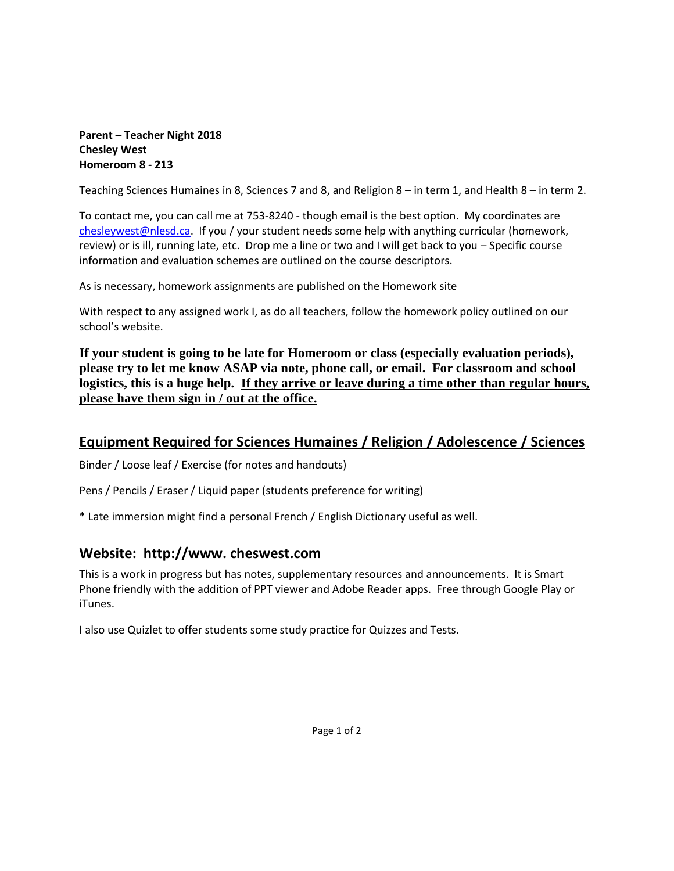#### **Parent – Teacher Night 2018 Chesley West Homeroom 8 - 213**

Teaching Sciences Humaines in 8, Sciences 7 and 8, and Religion 8 – in term 1, and Health 8 – in term 2.

To contact me, you can call me at 753-8240 - though email is the best option. My coordinates are [chesleywest@nlesd.ca.](mailto:chesleywest@nlesd.ca) If you / your student needs some help with anything curricular (homework, review) or is ill, running late, etc. Drop me a line or two and I will get back to you – Specific course information and evaluation schemes are outlined on the course descriptors.

As is necessary, homework assignments are published on the Homework site

With respect to any assigned work I, as do all teachers, follow the homework policy outlined on our school's website.

**If your student is going to be late for Homeroom or class (especially evaluation periods), please try to let me know ASAP via note, phone call, or email. For classroom and school logistics, this is a huge help. If they arrive or leave during a time other than regular hours, please have them sign in / out at the office.**

# **Equipment Required for Sciences Humaines / Religion / Adolescence / Sciences**

Binder / Loose leaf / Exercise (for notes and handouts)

Pens / Pencils / Eraser / Liquid paper (students preference for writing)

\* Late immersion might find a personal French / English Dictionary useful as well.

# **Website: http://www. cheswest.com**

This is a work in progress but has notes, supplementary resources and announcements. It is Smart Phone friendly with the addition of PPT viewer and Adobe Reader apps. Free through Google Play or iTunes.

I also use Quizlet to offer students some study practice for Quizzes and Tests.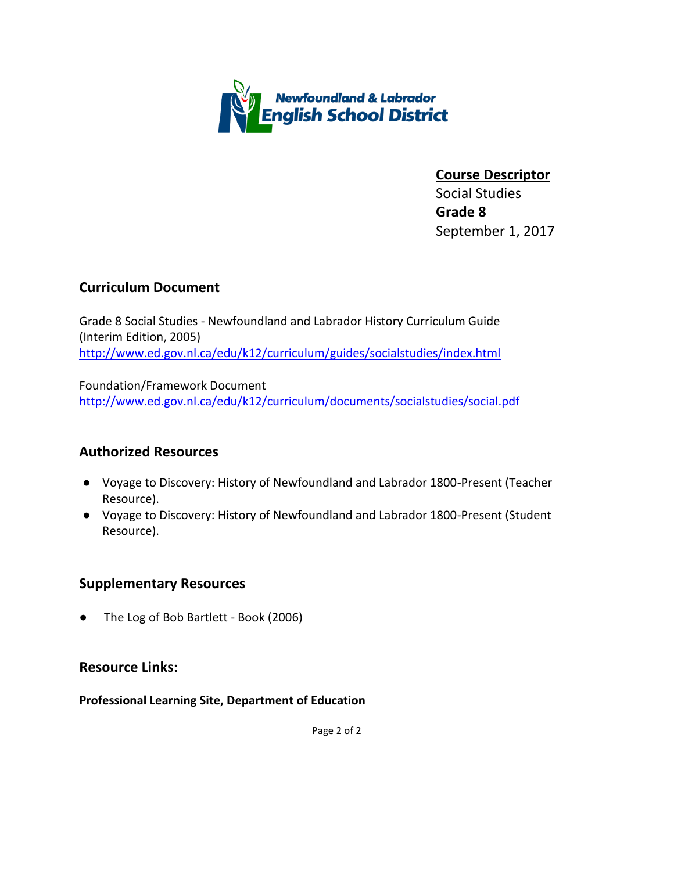

**Course Descriptor** Social Studies **Grade 8** September 1, 2017

### **Curriculum Document**

Grade 8 Social Studies - Newfoundland and Labrador History Curriculum Guide (Interim Edition, 2005) [http://www.ed.gov.nl.ca/edu/k12/curriculum/guides/socialstudies/index.html](http://www.ed.gov.nl.ca/edu/k12/curriculum/guides/socialstudies/index.html#gr8)

Foundation/Framework Document <http://www.ed.gov.nl.ca/edu/k12/curriculum/documents/socialstudies/social.pdf>

# **Authorized Resources**

- Voyage to Discovery: History of Newfoundland and Labrador 1800-Present (Teacher Resource).
- Voyage to Discovery: History of Newfoundland and Labrador 1800-Present (Student Resource).

### **Supplementary Resources**

The Log of Bob Bartlett - Book (2006)

### **Resource Links:**

**Professional Learning Site, Department of Education**

Page 2 of 2